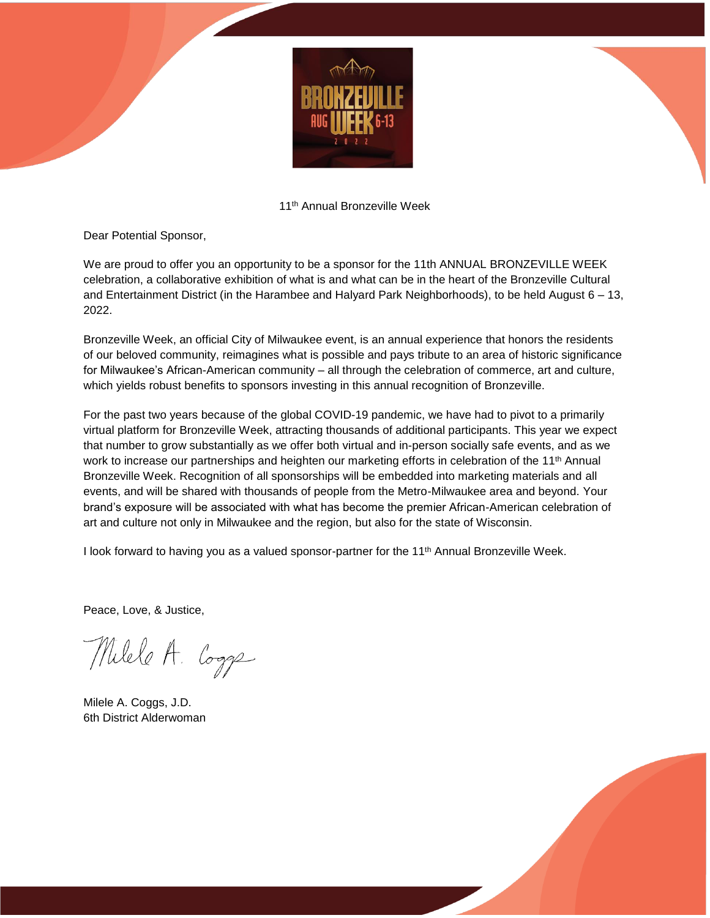

11th Annual Bronzeville Week

Dear Potential Sponsor,

We are proud to offer you an opportunity to be a sponsor for the 11th ANNUAL BRONZEVILLE WEEK celebration, a collaborative exhibition of what is and what can be in the heart of the Bronzeville Cultural and Entertainment District (in the Harambee and Halyard Park Neighborhoods), to be held August 6 – 13, 2022.

Bronzeville Week, an official City of Milwaukee event, is an annual experience that honors the residents of our beloved community, reimagines what is possible and pays tribute to an area of historic significance for Milwaukee's African-American community – all through the celebration of commerce, art and culture, which yields robust benefits to sponsors investing in this annual recognition of Bronzeville.

For the past two years because of the global COVID-19 pandemic, we have had to pivot to a primarily virtual platform for Bronzeville Week, attracting thousands of additional participants. This year we expect that number to grow substantially as we offer both virtual and in-person socially safe events, and as we work to increase our partnerships and heighten our marketing efforts in celebration of the 11<sup>th</sup> Annual Bronzeville Week. Recognition of all sponsorships will be embedded into marketing materials and all events, and will be shared with thousands of people from the Metro-Milwaukee area and beyond. Your brand's exposure will be associated with what has become the premier African-American celebration of art and culture not only in Milwaukee and the region, but also for the state of Wisconsin.

I look forward to having you as a valued sponsor-partner for the 11<sup>th</sup> Annual Bronzeville Week.

Peace, Love, & Justice,

Milele A. Cogge

Milele A. Coggs, J.D. 6th District Alderwoman